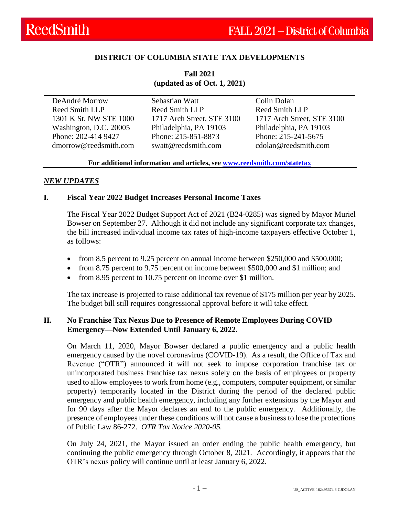# **DISTRICT OF COLUMBIA STATE TAX DEVELOPMENTS**

**Fall 2021 (updated as of Oct. 1, 2021)**

DeAndré Morrow Reed Smith LLP 1301 K St. NW STE 1000 Washington, D.C. 20005 Phone: 202-414 9427 dmorrow@reedsmith.com

Sebastian Watt Reed Smith LLP 1717 Arch Street, STE 3100 Philadelphia, PA 19103 Phone: 215-851-8873 swatt@reedsmith.com

Colin Dolan Reed Smith LLP 1717 Arch Street, STE 3100 Philadelphia, PA 19103 Phone: 215-241-5675 cdolan@reedsmith.com

#### **For additional information and articles, see [www.reedsmith.com/statetax](https://www.reedsmith.com/en/capabilities/services/tax-private-client-services-and-executive-compensation/state-tax)**

#### *NEW UPDATES*

#### **I. Fiscal Year 2022 Budget Increases Personal Income Taxes**

The Fiscal Year 2022 Budget Support Act of 2021 (B24-0285) was signed by Mayor Muriel Bowser on September 27. Although it did not include any significant corporate tax changes, the bill increased individual income tax rates of high-income taxpayers effective October 1, as follows:

- from 8.5 percent to 9.25 percent on annual income between \$250,000 and \$500,000;
- from 8.75 percent to 9.75 percent on income between \$500,000 and \$1 million; and
- from 8.95 percent to 10.75 percent on income over \$1 million.

The tax increase is projected to raise additional tax revenue of \$175 million per year by 2025. The budget bill still requires congressional approval before it will take effect.

### **II. No Franchise Tax Nexus Due to Presence of Remote Employees During COVID Emergency—Now Extended Until January 6, 2022.**

On March 11, 2020, Mayor Bowser declared a public emergency and a public health emergency caused by the novel coronavirus (COVID-19). As a result, the Office of Tax and Revenue ("OTR") announced it will not seek to impose corporation franchise tax or unincorporated business franchise tax nexus solely on the basis of employees or property used to allow employees to work from home (e.g., computers, computer equipment, or similar property) temporarily located in the District during the period of the declared public emergency and public health emergency, including any further extensions by the Mayor and for 90 days after the Mayor declares an end to the public emergency. Additionally, the presence of employees under these conditions will not cause a business to lose the protections of Public Law 86-272. *OTR Tax Notice 2020-05.*

On July 24, 2021, the Mayor issued an order ending the public health emergency, but continuing the public emergency through October 8, 2021. Accordingly, it appears that the OTR's nexus policy will continue until at least January 6, 2022.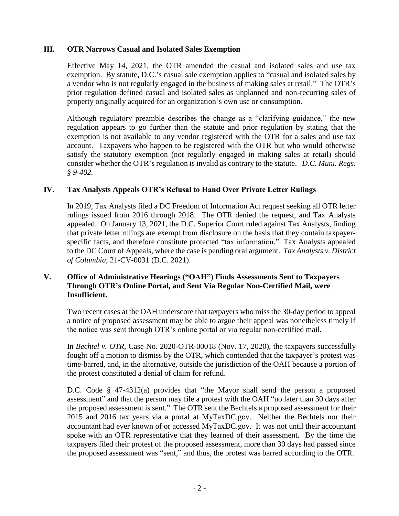## **III. OTR Narrows Casual and Isolated Sales Exemption**

Effective May 14, 2021, the OTR amended the casual and isolated sales and use tax exemption. By statute, D.C.'s casual sale exemption applies to "casual and isolated sales by a vendor who is not regularly engaged in the business of making sales at retail." The OTR's prior regulation defined casual and isolated sales as unplanned and non-recurring sales of property originally acquired for an organization's own use or consumption.

Although regulatory preamble describes the change as a "clarifying guidance," the new regulation appears to go further than the statute and prior regulation by stating that the exemption is not available to any vendor registered with the OTR for a sales and use tax account. Taxpayers who happen to be registered with the OTR but who would otherwise satisfy the statutory exemption (not regularly engaged in making sales at retail) should consider whether the OTR's regulation is invalid as contrary to the statute. *D.C. Muni. Regs. § 9-402.*

### **IV. Tax Analysts Appeals OTR's Refusal to Hand Over Private Letter Rulings**

In 2019, Tax Analysts filed a DC Freedom of Information Act request seeking all OTR letter rulings issued from 2016 through 2018. The OTR denied the request, and Tax Analysts appealed. On January 13, 2021, the D.C. Superior Court ruled against Tax Analysts, finding that private letter rulings are exempt from disclosure on the basis that they contain taxpayerspecific facts, and therefore constitute protected "tax information." Tax Analysts appealed to the DC Court of Appeals, where the case is pending oral argument. *Tax Analysts v. District of Columbia*, 21-CV-0031 (D.C. 2021).

## **V. Office of Administrative Hearings ("OAH") Finds Assessments Sent to Taxpayers Through OTR's Online Portal, and Sent Via Regular Non-Certified Mail, were Insufficient.**

Two recent cases at the OAH underscore that taxpayers who miss the 30-day period to appeal a notice of proposed assessment may be able to argue their appeal was nonetheless timely if the notice was sent through OTR's online portal or via regular non-certified mail.

In *Bechtel v. OTR*, Case No. 2020-OTR-00018 (Nov. 17, 2020), the taxpayers successfully fought off a motion to dismiss by the OTR, which contended that the taxpayer's protest was time-barred, and, in the alternative, outside the jurisdiction of the OAH because a portion of the protest constituted a denial of claim for refund.

D.C. Code § 47-4312(a) provides that "the Mayor shall send the person a proposed assessment" and that the person may file a protest with the OAH "no later than 30 days after the proposed assessment is sent." The OTR sent the Bechtels a proposed assessment for their 2015 and 2016 tax years via a portal at MyTaxDC.gov. Neither the Bechtels nor their accountant had ever known of or accessed MyTaxDC.gov. It was not until their accountant spoke with an OTR representative that they learned of their assessment. By the time the taxpayers filed their protest of the proposed assessment, more than 30 days had passed since the proposed assessment was "sent," and thus, the protest was barred according to the OTR.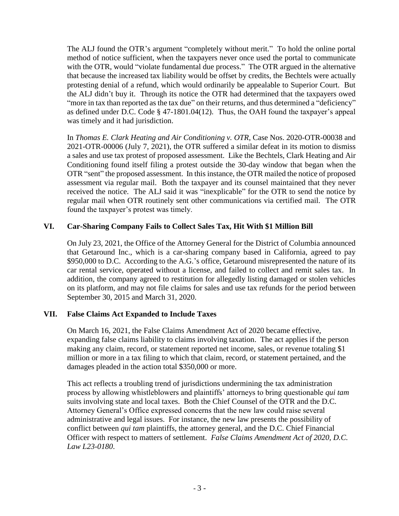The ALJ found the OTR's argument "completely without merit." To hold the online portal method of notice sufficient, when the taxpayers never once used the portal to communicate with the OTR, would "violate fundamental due process." The OTR argued in the alternative that because the increased tax liability would be offset by credits, the Bechtels were actually protesting denial of a refund, which would ordinarily be appealable to Superior Court. But the ALJ didn't buy it. Through its notice the OTR had determined that the taxpayers owed "more in tax than reported as the tax due" on their returns, and thus determined a "deficiency" as defined under D.C. Code § 47-1801.04(12). Thus, the OAH found the taxpayer's appeal was timely and it had jurisdiction.

In *Thomas E. Clark Heating and Air Conditioning v. OTR*, Case Nos. 2020-OTR-00038 and 2021-OTR-00006 (July 7, 2021), the OTR suffered a similar defeat in its motion to dismiss a sales and use tax protest of proposed assessment. Like the Bechtels, Clark Heating and Air Conditioning found itself filing a protest outside the 30-day window that began when the OTR "sent" the proposed assessment. In this instance, the OTR mailed the notice of proposed assessment via regular mail. Both the taxpayer and its counsel maintained that they never received the notice. The ALJ said it was "inexplicable" for the OTR to send the notice by regular mail when OTR routinely sent other communications via certified mail. The OTR found the taxpayer's protest was timely.

# **VI. Car-Sharing Company Fails to Collect Sales Tax, Hit With \$1 Million Bill**

On July 23, 2021, the Office of the Attorney General for the District of Columbia announced that Getaround Inc., which is a car-sharing company based in California, agreed to pay \$950,000 to D.C. According to the A.G.'s office, Getaround misrepresented the nature of its car rental service, operated without a license, and failed to collect and remit sales tax. In addition, the company agreed to restitution for allegedly listing damaged or stolen vehicles on its platform, and may not file claims for sales and use tax refunds for the period between September 30, 2015 and March 31, 2020.

# **VII. False Claims Act Expanded to Include Taxes**

On March 16, 2021, the False Claims Amendment Act of 2020 became effective, expanding false claims liability to claims involving taxation. The act applies if the person making any claim, record, or statement reported net income, sales, or revenue totaling \$1 million or more in a tax filing to which that claim, record, or statement pertained, and the damages pleaded in the action total \$350,000 or more.

This act reflects a troubling trend of jurisdictions undermining the tax administration process by allowing whistleblowers and plaintiffs' attorneys to bring questionable *qui tam* suits involving state and local taxes. Both the Chief Counsel of the OTR and the D.C. Attorney General's Office expressed concerns that the new law could raise several administrative and legal issues. For instance, the new law presents the possibility of conflict between *qui tam* plaintiffs, the attorney general, and the D.C. Chief Financial Officer with respect to matters of settlement. *False Claims Amendment Act of 2020, D.C. Law L23-0180*.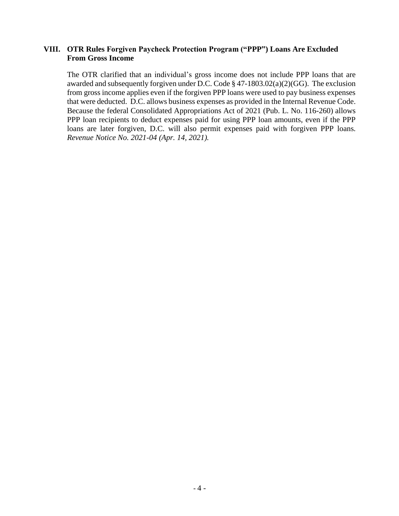### **VIII. OTR Rules Forgiven Paycheck Protection Program ("PPP") Loans Are Excluded From Gross Income**

The OTR clarified that an individual's gross income does not include PPP loans that are awarded and subsequently forgiven under D.C. Code § 47-1803.02(a)(2)(GG). The exclusion from gross income applies even if the forgiven PPP loans were used to pay business expenses that were deducted. D.C. allows business expenses as provided in the Internal Revenue Code. Because the federal Consolidated Appropriations Act of 2021 (Pub. L. No. 116-260) allows PPP loan recipients to deduct expenses paid for using PPP loan amounts, even if the PPP loans are later forgiven, D.C. will also permit expenses paid with forgiven PPP loans. *Revenue Notice No. 2021-04 (Apr. 14, 2021).*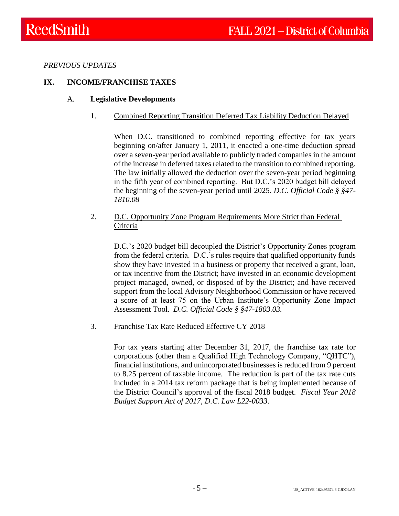*PREVIOUS UPDATES*

# **IX. INCOME/FRANCHISE TAXES**

### A. **Legislative Developments**

1. Combined Reporting Transition Deferred Tax Liability Deduction Delayed

When D.C. transitioned to combined reporting effective for tax years beginning on/after January 1, 2011, it enacted a one-time deduction spread over a seven-year period available to publicly traded companies in the amount of the increase in deferred taxes related to the transition to combined reporting. The law initially allowed the deduction over the seven-year period beginning in the fifth year of combined reporting. But D.C.'s 2020 budget bill delayed the beginning of the seven-year period until 2025. *D.C. Official Code § §47- 1810.08*

2. D.C. Opportunity Zone Program Requirements More Strict than Federal Criteria

D.C.'s 2020 budget bill decoupled the District's Opportunity Zones program from the federal criteria. D.C.'s rules require that qualified opportunity funds show they have invested in a business or property that received a grant, loan, or tax incentive from the District; have invested in an economic development project managed, owned, or disposed of by the District; and have received support from the local Advisory Neighborhood Commission or have received a score of at least 75 on the Urban Institute's Opportunity Zone Impact Assessment Tool. *D.C. Official Code § §47-1803.03.*

3. Franchise Tax Rate Reduced Effective CY 2018

For tax years starting after December 31, 2017, the franchise tax rate for corporations (other than a Qualified High Technology Company, "QHTC"), financial institutions, and unincorporated businesses is reduced from 9 percent to 8.25 percent of taxable income. The reduction is part of the tax rate cuts included in a 2014 tax reform package that is being implemented because of the District Council's approval of the fiscal 2018 budget. *Fiscal Year 2018 Budget Support Act of 2017, D.C. Law L22-0033*.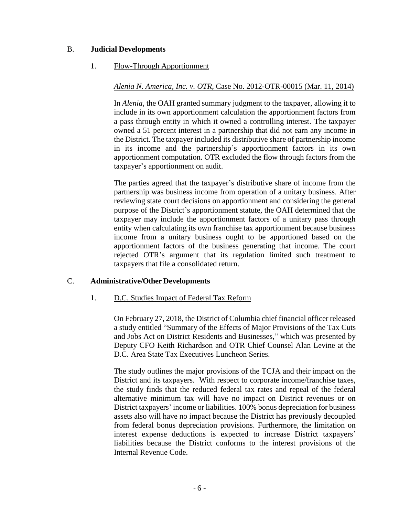## B. **Judicial Developments**

### 1. Flow-Through Apportionment

## *Alenia N. America, Inc. v. OTR*, Case No. 2012-OTR-00015 (Mar. 11, 2014)

In *Alenia*, the OAH granted summary judgment to the taxpayer, allowing it to include in its own apportionment calculation the apportionment factors from a pass through entity in which it owned a controlling interest. The taxpayer owned a 51 percent interest in a partnership that did not earn any income in the District. The taxpayer included its distributive share of partnership income in its income and the partnership's apportionment factors in its own apportionment computation. OTR excluded the flow through factors from the taxpayer's apportionment on audit.

The parties agreed that the taxpayer's distributive share of income from the partnership was business income from operation of a unitary business. After reviewing state court decisions on apportionment and considering the general purpose of the District's apportionment statute, the OAH determined that the taxpayer may include the apportionment factors of a unitary pass through entity when calculating its own franchise tax apportionment because business income from a unitary business ought to be apportioned based on the apportionment factors of the business generating that income. The court rejected OTR's argument that its regulation limited such treatment to taxpayers that file a consolidated return.

### C. **Administrative/Other Developments**

### 1. D.C. Studies Impact of Federal Tax Reform

On February 27, 2018, the District of Columbia chief financial officer released a study entitled "Summary of the Effects of Major Provisions of the Tax Cuts and Jobs Act on District Residents and Businesses," which was presented by Deputy CFO Keith Richardson and OTR Chief Counsel Alan Levine at the D.C. Area State Tax Executives Luncheon Series.

The study outlines the major provisions of the TCJA and their impact on the District and its taxpayers. With respect to corporate income/franchise taxes, the study finds that the reduced federal tax rates and repeal of the federal alternative minimum tax will have no impact on District revenues or on District taxpayers' income or liabilities. 100% bonus depreciation for business assets also will have no impact because the District has previously decoupled from federal bonus depreciation provisions. Furthermore, the limitation on interest expense deductions is expected to increase District taxpayers' liabilities because the District conforms to the interest provisions of the Internal Revenue Code.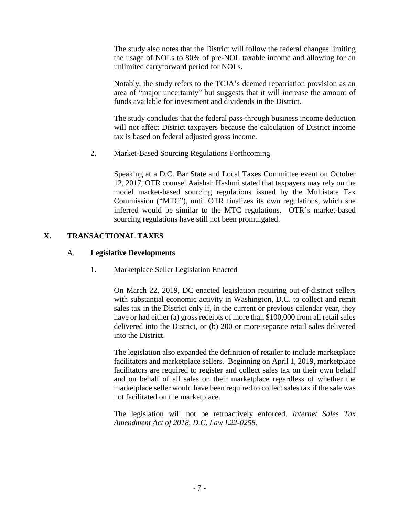The study also notes that the District will follow the federal changes limiting the usage of NOLs to 80% of pre-NOL taxable income and allowing for an unlimited carryforward period for NOLs.

Notably, the study refers to the TCJA's deemed repatriation provision as an area of "major uncertainty" but suggests that it will increase the amount of funds available for investment and dividends in the District.

The study concludes that the federal pass-through business income deduction will not affect District taxpayers because the calculation of District income tax is based on federal adjusted gross income.

# 2. Market-Based Sourcing Regulations Forthcoming

Speaking at a D.C. Bar State and Local Taxes Committee event on October 12, 2017, OTR counsel Aaishah Hashmi stated that taxpayers may rely on the model market-based sourcing regulations issued by the Multistate Tax Commission ("MTC"), until OTR finalizes its own regulations, which she inferred would be similar to the MTC regulations. OTR's market-based sourcing regulations have still not been promulgated.

# **X. TRANSACTIONAL TAXES**

### A. **Legislative Developments**

### 1. Marketplace Seller Legislation Enacted

On March 22, 2019, DC enacted legislation requiring out-of-district sellers with substantial economic activity in Washington, D.C. to collect and remit sales tax in the District only if, in the current or previous calendar year, they have or had either (a) gross receipts of more than \$100,000 from all retail sales delivered into the District, or (b) 200 or more separate retail sales delivered into the District.

The legislation also expanded the definition of retailer to include marketplace facilitators and marketplace sellers. Beginning on April 1, 2019, marketplace facilitators are required to register and collect sales tax on their own behalf and on behalf of all sales on their marketplace regardless of whether the marketplace seller would have been required to collect sales tax if the sale was not facilitated on the marketplace.

The legislation will not be retroactively enforced. *Internet Sales Tax Amendment Act of 2018, D.C. Law L22-0258.*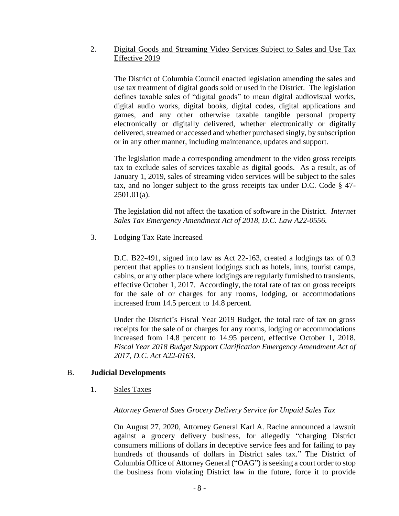### 2. Digital Goods and Streaming Video Services Subject to Sales and Use Tax Effective 2019

The District of Columbia Council enacted legislation amending the sales and use tax treatment of digital goods sold or used in the District. The legislation defines taxable sales of "digital goods" to mean digital audiovisual works, digital audio works, digital books, digital codes, digital applications and games, and any other otherwise taxable tangible personal property electronically or digitally delivered, whether electronically or digitally delivered, streamed or accessed and whether purchased singly, by subscription or in any other manner, including maintenance, updates and support.

The legislation made a corresponding amendment to the video gross receipts tax to exclude sales of services taxable as digital goods. As a result, as of January 1, 2019, sales of streaming video services will be subject to the sales tax, and no longer subject to the gross receipts tax under D.C. Code § 47- 2501.01(a).

The legislation did not affect the taxation of software in the District. *Internet Sales Tax Emergency Amendment Act of 2018, D.C. Law A22-0556.*

### 3. Lodging Tax Rate Increased

D.C. B22-491, signed into law as Act 22-163, created a lodgings tax of 0.3 percent that applies to transient lodgings such as hotels, inns, tourist camps, cabins, or any other place where lodgings are regularly furnished to transients, effective October 1, 2017. Accordingly, the total rate of tax on gross receipts for the sale of or charges for any rooms, lodging, or accommodations increased from 14.5 percent to 14.8 percent.

Under the District's Fiscal Year 2019 Budget, the total rate of tax on gross receipts for the sale of or charges for any rooms, lodging or accommodations increased from 14.8 percent to 14.95 percent, effective October 1, 2018. *Fiscal Year 2018 Budget Support Clarification Emergency Amendment Act of 2017, D.C. Act A22-0163*.

### B. **Judicial Developments**

1. Sales Taxes

# *Attorney General Sues Grocery Delivery Service for Unpaid Sales Tax*

On August 27, 2020, Attorney General Karl A. Racine announced a lawsuit against a grocery delivery business, for allegedly "charging District consumers millions of dollars in deceptive service fees and for failing to pay hundreds of thousands of dollars in District sales tax." The District of Columbia Office of Attorney General ("OAG") is seeking a court order to stop the business from violating District law in the future, force it to provide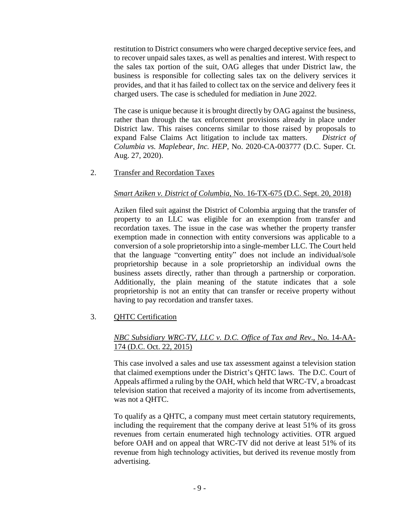restitution to District consumers who were charged deceptive service fees, and to recover unpaid sales taxes, as well as penalties and interest. With respect to the sales tax portion of the suit, OAG alleges that under District law, the business is responsible for collecting sales tax on the delivery services it provides, and that it has failed to collect tax on the service and delivery fees it charged users. The case is scheduled for mediation in June 2022.

The case is unique because it is brought directly by OAG against the business, rather than through the tax enforcement provisions already in place under District law. This raises concerns similar to those raised by proposals to expand False Claims Act litigation to include tax matters. *District of Columbia vs. Maplebear, Inc. HEP*, No. 2020-CA-003777 (D.C. Super. Ct. Aug. 27, 2020).

2. Transfer and Recordation Taxes

#### *Smart Aziken v. District of Columbia,* No. 16-TX-675 (D.C. Sept. 20, 2018)

Aziken filed suit against the District of Colombia arguing that the transfer of property to an LLC was eligible for an exemption from transfer and recordation taxes. The issue in the case was whether the property transfer exemption made in connection with entity conversions was applicable to a conversion of a sole proprietorship into a single-member LLC. The Court held that the language "converting entity" does not include an individual/sole proprietorship because in a sole proprietorship an individual owns the business assets directly, rather than through a partnership or corporation. Additionally, the plain meaning of the statute indicates that a sole proprietorship is not an entity that can transfer or receive property without having to pay recordation and transfer taxes.

### 3. QHTC Certification

## *NBC Subsidiary WRC-TV, LLC v. D.C. Office of Tax and Rev*., No. 14-AA-174 (D.C. Oct. 22, 2015)

This case involved a sales and use tax assessment against a television station that claimed exemptions under the District's QHTC laws. The D.C. Court of Appeals affirmed a ruling by the OAH, which held that WRC-TV, a broadcast television station that received a majority of its income from advertisements, was not a QHTC.

To qualify as a QHTC, a company must meet certain statutory requirements, including the requirement that the company derive at least 51% of its gross revenues from certain enumerated high technology activities. OTR argued before OAH and on appeal that WRC-TV did not derive at least 51% of its revenue from high technology activities, but derived its revenue mostly from advertising.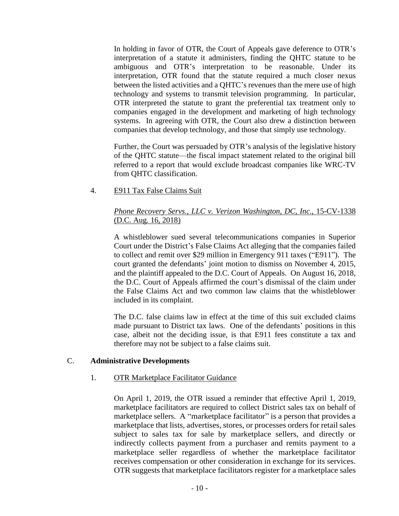In holding in favor of OTR, the Court of Appeals gave deference to OTR's interpretation of a statute it administers, finding the QHTC statute to be ambiguous and OTR's interpretation to be reasonable. Under its interpretation, OTR found that the statute required a much closer nexus between the listed activities and a QHTC's revenues than the mere use of high technology and systems to transmit television programming. In particular, OTR interpreted the statute to grant the preferential tax treatment only to companies engaged in the development and marketing of high technology systems. In agreeing with OTR, the Court also drew a distinction between companies that develop technology, and those that simply use technology.

Further, the Court was persuaded by OTR's analysis of the legislative history of the QHTC statute—the fiscal impact statement related to the original bill referred to a report that would exclude broadcast companies like WRC-TV from QHTC classification.

4. E911 Tax False Claims Suit

### *Phone Recovery Servs., LLC v. Verizon Washington, DC, Inc*., 15-CV-1338 (D.C. Aug. 16, 2018)

A whistleblower sued several telecommunications companies in Superior Court under the District's False Claims Act alleging that the companies failed to collect and remit over \$29 million in Emergency 911 taxes ("E911"). The court granted the defendants' joint motion to dismiss on November 4, 2015, and the plaintiff appealed to the D.C. Court of Appeals. On August 16, 2018, the D.C. Court of Appeals affirmed the court's dismissal of the claim under the False Claims Act and two common law claims that the whistleblower included in its complaint.

The D.C. false claims law in effect at the time of this suit excluded claims made pursuant to District tax laws. One of the defendants' positions in this case, albeit not the deciding issue, is that E911 fees constitute a tax and therefore may not be subject to a false claims suit.

### C. **Administrative Developments**

### 1. OTR Marketplace Facilitator Guidance

On April 1, 2019, the OTR issued a reminder that effective April 1, 2019, marketplace facilitators are required to collect District sales tax on behalf of marketplace sellers. A "marketplace facilitator" is a person that provides a marketplace that lists, advertises, stores, or processes orders for retail sales subject to sales tax for sale by marketplace sellers, and directly or indirectly collects payment from a purchaser and remits payment to a marketplace seller regardless of whether the marketplace facilitator receives compensation or other consideration in exchange for its services. OTR suggests that marketplace facilitators register for a marketplace sales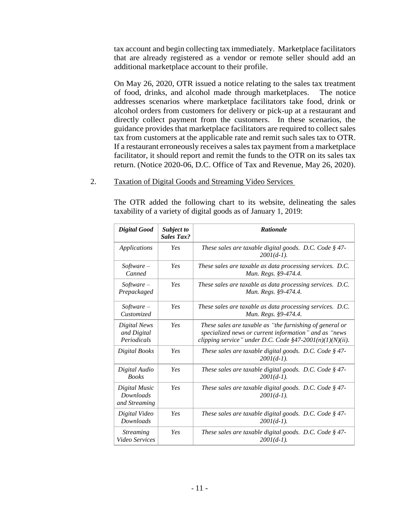tax account and begin collecting tax immediately. Marketplace facilitators that are already registered as a vendor or remote seller should add an additional marketplace account to their profile.

On May 26, 2020, OTR issued a notice relating to the sales tax treatment of food, drinks, and alcohol made through marketplaces. The notice addresses scenarios where marketplace facilitators take food, drink or alcohol orders from customers for delivery or pick-up at a restaurant and directly collect payment from the customers. In these scenarios, the guidance provides that marketplace facilitators are required to collect sales tax from customers at the applicable rate and remit such sales tax to OTR. If a restaurant erroneously receives a sales tax payment from a marketplace facilitator, it should report and remit the funds to the OTR on its sales tax return. (Notice 2020-06, D.C. Office of Tax and Revenue, May 26, 2020).

#### 2. Taxation of Digital Goods and Streaming Video Services

The OTR added the following chart to its website, delineating the sales taxability of a variety of digital goods as of January 1, 2019:

| <b>Digital Good</b>                                | Subject to<br><b>Sales Tax?</b> | <b>Rationale</b>                                                                                                                                                                  |
|----------------------------------------------------|---------------------------------|-----------------------------------------------------------------------------------------------------------------------------------------------------------------------------------|
| <b>Applications</b>                                | Yes                             | These sales are taxable digital goods. D.C. Code § 47-<br>$2001(d-1)$ .                                                                                                           |
| $Software -$<br>Canned                             | Yes                             | These sales are taxable as data processing services. D.C.<br>Mun. Regs. §9-474.4.                                                                                                 |
| $Software -$<br>Prepackaged                        | Yes                             | These sales are taxable as data processing services. D.C.<br>Mun. Regs. §9-474.4.                                                                                                 |
| $Software -$<br>Customized                         | Yes                             | These sales are taxable as data processing services. D.C.<br>Mun. Regs. §9-474.4.                                                                                                 |
| Digital News<br>and Digital<br>Periodicals         | Yes                             | These sales are taxable as "the furnishing of general or<br>specialized news or current information" and as "news<br>clipping service" under D.C. Code $\S47-2001(n)(1)(N)(ii)$ . |
| Digital Books                                      | Yes                             | These sales are taxable digital goods. D.C. Code $\S$ 47-<br>$2001(d-1)$ .                                                                                                        |
| Digital Audio<br><b>Books</b>                      | Yes                             | These sales are taxable digital goods. D.C. Code § 47-<br>$2001(d-1)$ .                                                                                                           |
| Digital Music<br><b>Downloads</b><br>and Streaming | Yes                             | These sales are taxable digital goods. D.C. Code § 47-<br>$2001(d-1)$ .                                                                                                           |
| Digital Video<br><b>Downloads</b>                  | Yes                             | These sales are taxable digital goods. D.C. Code $\S$ 47-<br>$2001(d-1)$ .                                                                                                        |
| <b>Streaming</b><br>Video Services                 | Yes                             | These sales are taxable digital goods. D.C. Code § 47-<br>$2001(d-1)$ .                                                                                                           |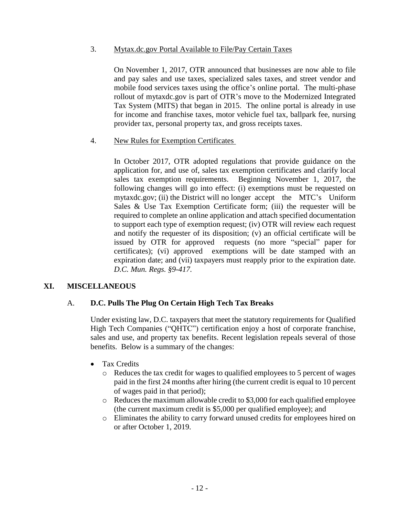## 3. Mytax.dc.gov Portal Available to File/Pay Certain Taxes

On November 1, 2017, OTR announced that businesses are now able to file and pay sales and use taxes, specialized sales taxes, and street vendor and mobile food services taxes using the office's online portal. The multi-phase rollout of mytaxdc.gov is part of OTR's move to the Modernized Integrated Tax System (MITS) that began in 2015. The online portal is already in use for income and franchise taxes, motor vehicle fuel tax, ballpark fee, nursing provider tax, personal property tax, and gross receipts taxes.

### 4. New Rules for Exemption Certificates

In October 2017, OTR adopted regulations that provide guidance on the application for, and use of, sales tax exemption certificates and clarify local sales tax exemption requirements. Beginning November 1, 2017, the following changes will go into effect: (i) exemptions must be requested on mytaxdc.gov; (ii) the District will no longer accept the MTC's Uniform Sales & Use Tax Exemption Certificate form; (iii) the requester will be required to complete an online application and attach specified documentation to support each type of exemption request; (iv) OTR will review each request and notify the requester of its disposition; (v) an official certificate will be issued by OTR for approved requests (no more "special" paper for certificates); (vi) approved exemptions will be date stamped with an expiration date; and (vii) taxpayers must reapply prior to the expiration date. *D.C. Mun. Regs. §9-417.*

# **XI. MISCELLANEOUS**

# A. **D.C. Pulls The Plug On Certain High Tech Tax Breaks**

Under existing law, D.C. taxpayers that meet the statutory requirements for Qualified High Tech Companies ("QHTC") certification enjoy a host of corporate franchise, sales and use, and property tax benefits. Recent legislation repeals several of those benefits. Below is a summary of the changes:

- Tax Credits
	- o Reduces the tax credit for wages to qualified employees to 5 percent of wages paid in the first 24 months after hiring (the current credit is equal to 10 percent of wages paid in that period);
	- $\circ$  Reduces the maximum allowable credit to \$3,000 for each qualified employee (the current maximum credit is \$5,000 per qualified employee); and
	- o Eliminates the ability to carry forward unused credits for employees hired on or after October 1, 2019.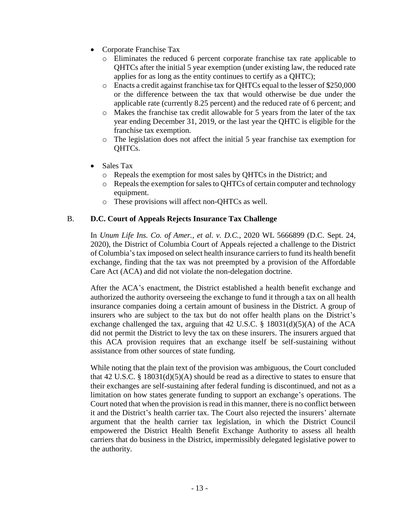- Corporate Franchise Tax
	- o Eliminates the reduced 6 percent corporate franchise tax rate applicable to QHTCs after the initial 5 year exemption (under existing law, the reduced rate applies for as long as the entity continues to certify as a QHTC);
	- o Enacts a credit against franchise tax for QHTCs equal to the lesser of \$250,000 or the difference between the tax that would otherwise be due under the applicable rate (currently 8.25 percent) and the reduced rate of 6 percent; and
	- o Makes the franchise tax credit allowable for 5 years from the later of the tax year ending December 31, 2019, or the last year the QHTC is eligible for the franchise tax exemption.
	- o The legislation does not affect the initial 5 year franchise tax exemption for QHTCs.
- Sales Tax
	- o Repeals the exemption for most sales by QHTCs in the District; and
	- o Repeals the exemption for sales to QHTCs of certain computer and technology equipment.
	- o These provisions will affect non-QHTCs as well.

### B. **D.C. Court of Appeals Rejects Insurance Tax Challenge**

In *Unum Life Ins. Co. of Amer., et al. v. D.C.*, 2020 WL 5666899 (D.C. Sept. 24, 2020), the District of Columbia Court of Appeals rejected a challenge to the District of Columbia's tax imposed on select health insurance carriers to fund its health benefit exchange, finding that the tax was not preempted by a provision of the Affordable Care Act (ACA) and did not violate the non-delegation doctrine.

After the ACA's enactment, the District established a health benefit exchange and authorized the authority overseeing the exchange to fund it through a tax on all health insurance companies doing a certain amount of business in the District. A group of insurers who are subject to the tax but do not offer health plans on the District's exchange challenged the tax, arguing that 42 U.S.C.  $\S$  18031(d)(5)(A) of the ACA did not permit the District to levy the tax on these insurers. The insurers argued that this ACA provision requires that an exchange itself be self-sustaining without assistance from other sources of state funding.

While noting that the plain text of the provision was ambiguous, the Court concluded that 42 U.S.C. § 18031(d)(5)(A) should be read as a directive to states to ensure that their exchanges are self-sustaining after federal funding is discontinued, and not as a limitation on how states generate funding to support an exchange's operations. The Court noted that when the provision is read in this manner, there is no conflict between it and the District's health carrier tax. The Court also rejected the insurers' alternate argument that the health carrier tax legislation, in which the District Council empowered the District Health Benefit Exchange Authority to assess all health carriers that do business in the District, impermissibly delegated legislative power to the authority.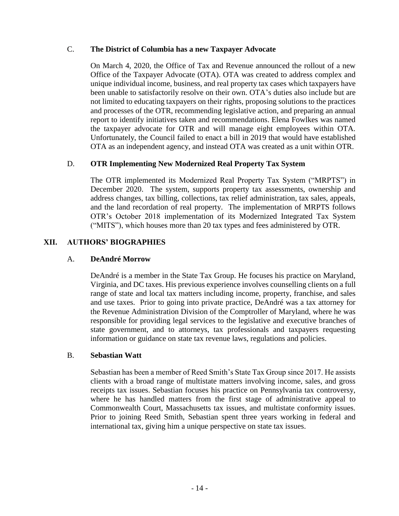## C. **The District of Columbia has a new Taxpayer Advocate**

On March 4, 2020, the Office of Tax and Revenue announced the rollout of a new Office of the Taxpayer Advocate (OTA). OTA was created to address complex and unique individual income, business, and real property tax cases which taxpayers have been unable to satisfactorily resolve on their own. OTA's duties also include but are not limited to educating taxpayers on their rights, proposing solutions to the practices and processes of the OTR, recommending legislative action, and preparing an annual report to identify initiatives taken and recommendations. Elena Fowlkes was named the taxpayer advocate for OTR and will manage eight employees within OTA. Unfortunately, the Council failed to enact a bill in 2019 that would have established OTA as an independent agency, and instead OTA was created as a unit within OTR.

# D. **OTR Implementing New Modernized Real Property Tax System**

The OTR implemented its Modernized Real Property Tax System ("MRPTS") in December 2020. The system, supports property tax assessments, ownership and address changes, tax billing, collections, tax relief administration, tax sales, appeals, and the land recordation of real property. The implementation of MRPTS follows OTR's October 2018 implementation of its Modernized Integrated Tax System ("MITS"), which houses more than 20 tax types and fees administered by OTR.

# **XII. AUTHORS' BIOGRAPHIES**

### A. **DeAndré Morrow**

DeAndré is a member in the State Tax Group. He focuses his practice on Maryland, Virginia, and DC taxes. His previous experience involves counselling clients on a full range of state and local tax matters including income, property, franchise, and sales and use taxes. Prior to going into private practice, DeAndré was a tax attorney for the Revenue Administration Division of the Comptroller of Maryland, where he was responsible for providing legal services to the legislative and executive branches of state government, and to attorneys, tax professionals and taxpayers requesting information or guidance on state tax revenue laws, regulations and policies.

### B. **Sebastian Watt**

Sebastian has been a member of Reed Smith's State Tax Group since 2017. He assists clients with a broad range of multistate matters involving income, sales, and gross receipts tax issues. Sebastian focuses his practice on Pennsylvania tax controversy, where he has handled matters from the first stage of administrative appeal to Commonwealth Court, Massachusetts tax issues, and multistate conformity issues. Prior to joining Reed Smith, Sebastian spent three years working in federal and international tax, giving him a unique perspective on state tax issues.